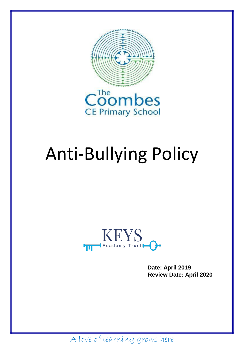

# Anti-Bullying Policy



**Date: April 2019 Review Date: April 2020**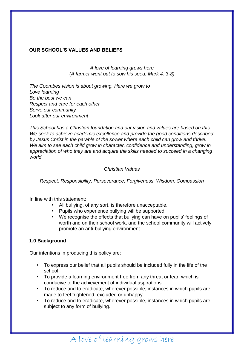#### **OUR SCHOOL'S VALUES AND BELIEFS**

*A love of learning grows here (A farmer went out to sow his seed. Mark 4: 3-8)*

*The Coombes vision is about growing. Here we grow to Love learning Be the best we can Respect and care for each other Serve our community Look after our environment*

*This School has a Christian foundation and our vision and values are based on this. We seek to achieve academic excellence and provide the good conditions described by Jesus Christ in the parable of the sower where each child can grow and thrive. We aim to see each child grow in character, confidence and understanding, grow in appreciation of who they are and acquire the skills needed to succeed in a changing world.*

#### *Christian Values*

*Respect, Responsibility, Perseverance, Forgiveness, Wisdom, Compassion*

In line with this statement:

- All bullying, of any sort, is therefore unacceptable.
- Pupils who experience bullying will be supported.
- We recognise the effects that bullying can have on pupils' feelings of worth and on their school work, and the school community will actively promote an anti-bullying environment

#### **1.0 Background**

Our intentions in producing this policy are:

- To express our belief that all pupils should be included fully in the life of the school.
- To provide a learning environment free from any threat or fear, which is conducive to the achievement of individual aspirations.
- To reduce and to eradicate, wherever possible, instances in which pupils are made to feel frightened, excluded or unhappy.
- To reduce and to eradicate, wherever possible, instances in which pupils are subject to any form of bullying.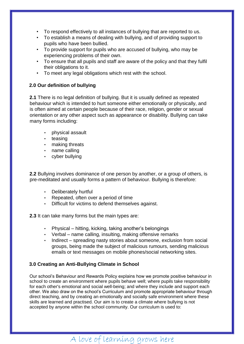- To respond effectively to all instances of bullying that are reported to us.
- To establish a means of dealing with bullying, and of providing support to pupils who have been bullied.
- To provide support for pupils who are accused of bullying, who may be experiencing problems of their own.
- To ensure that all pupils and staff are aware of the policy and that they fulfil their obligations to it.
- To meet any legal obligations which rest with the school.

#### **2.0 Our definition of bullying**

**2.1** There is no legal definition of bullying. But it is usually defined as repeated behaviour which is intended to hurt someone either emotionally or physically, and is often aimed at certain people because of their race, religion, gender or sexual orientation or any other aspect such as appearance or disability. Bullying can take many forms including:

- physical assault
- teasing
- making threats
- name calling
- cyber bullying

**2.2** Bullying involves dominance of one person by another, or a group of others, is pre-meditated and usually forms a pattern of behaviour. Bullying is therefore:

- Deliberately hurtful
- Repeated, often over a period of time
- Difficult for victims to defend themselves against.

**2.3** It can take many forms but the main types are:

- Physical hitting, kicking, taking another's belongings
- Verbal name calling, insulting, making offensive remarks
- Indirect spreading nasty stories about someone, exclusion from social groups, being made the subject of malicious rumours, sending malicious emails or text messages on mobile phones/social networking sites.

#### **3.0 Creating an Anti-Bullying Climate in School**

Our school's Behaviour and Rewards Policy explains how we promote positive behaviour in school to create an environment where pupils behave well; where pupils take responsibility for each other's emotional and social well-being; and where they include and support each other. We also draw on the school's Curriculum and promote appropriate behaviour through direct teaching, and by creating an emotionally and socially safe environment where these skills are learned and practised. Our aim is to create a climate where bullying is not accepted by anyone within the school community. Our curriculum is used to: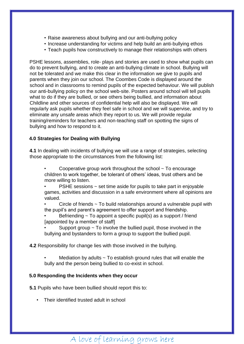- Raise awareness about bullying and our anti-bullying policy
- Increase understanding for victims and help build an anti-bullying ethos
- Teach pupils how constructively to manage their relationships with others

PSHE lessons, assemblies, role- plays and stories are used to show what pupils can do to prevent bullying, and to create an anti-bullying climate in school. Bullying will not be tolerated and we make this clear in the information we give to pupils and parents when they join our school. The Coombes Code is displayed around the school and in classrooms to remind pupils of the expected behaviour. We will publish our anti-bullying policy on the school web-site. Posters around school will tell pupils what to do if they are bullied, or see others being bullied, and information about Childline and other sources of confidential help will also be displayed. We will regularly ask pupils whether they feel safe in school and we will supervise, and try to eliminate any unsafe areas which they report to us. We will provide regular training/reminders for teachers and non-teaching staff on spotting the signs of bullying and how to respond to it.

#### **4.0 Strategies for Dealing with Bullying**

**4.1** In dealing with incidents of bullying we will use a range of strategies, selecting those appropriate to the circumstances from the following list:

- Cooperative group work throughout the school  $\sim$  To encourage children to work together, be tolerant of others' ideas, trust others and be more willing to listen.
- $PSHE$  sessions  $\sim$  set time aside for pupils to take part in enjoyable games, activities and discussion in a safe environment where all opinions are valued.

Circle of friends  $\sim$  To build relationships around a vulnerable pupil with the pupil's and parent's agreement to offer support and friendship.

Befriending  $\sim$  To appoint a specific pupil(s) as a support / friend [appointed by a member of staff]

Support group  $\sim$  To involve the bullied pupil, those involved in the bullying and bystanders to form a group to support the bullied pupil.

**4.2** Responsibility for change lies with those involved in the bullying.

Mediation by adults  $\sim$  To establish ground rules that will enable the bully and the person being bullied to co-exist in school.

#### **5.0 Responding the Incidents when they occur**

**5.1** Pupils who have been bullied should report this to:

• Their identified trusted adult in school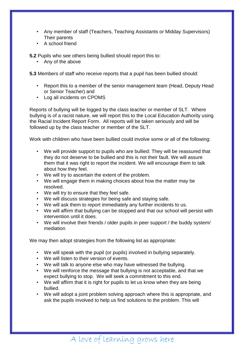- Any member of staff (Teachers, Teaching Assistants or Midday Supervisors) Their parents
- A school friend

**5.2** Pupils who see others being bullied should report this to:

• Any of the above

**5.3** Members of staff who receive reports that a pupil has been bullied should:

- Report this to a member of the senior management team (Head, Deputy Head or Senior Teacher) and
- Log all incidents on CPOMS

Reports of bullying will be logged by the class teacher or member of SLT. Where bullying is of a racist nature, we will report this to the Local Education Authority using the Racial Incident Report Form. All reports will be taken seriously and will be followed up by the class teacher or member of the SLT.

Work with children who have been bullied could involve some or all of the following:

- We will provide support to pupils who are bullied: They will be reassured that they do not deserve to be bullied and this is not their fault. We will assure them that it was right to report the incident. We will encourage them to talk about how they feel.
- We will try to ascertain the extent of the problem.
- We will engage them in making choices about how the matter may be resolved.
- We will try to ensure that they feel safe.
- We will discuss strategies for being safe and staying safe.
- We will ask them to report immediately any further incidents to us.
- We will affirm that bullying can be stopped and that our school will persist with intervention until it does.
- We will involve their friends / older pupils in peer support / the buddy system/ mediation

We may then adopt strategies from the following list as appropriate:

- We will speak with the pupil (or pupils) involved in bullying separately.
- We will listen to their version of events.
- We will talk to anyone else who may have witnessed the bullying.
- We will reinforce the message that bullying is not acceptable, and that we expect bullying to stop. We will seek a commitment to this end.
- We will affirm that it is right for pupils to let us know when they are being bullied.
- We will adopt a joint problem solving approach where this is appropriate, and ask the pupils involved to help us find solutions to the problem. This will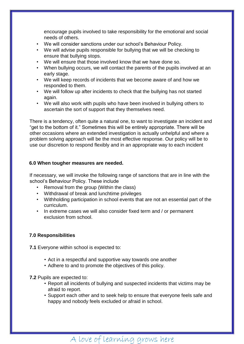encourage pupils involved to take responsibility for the emotional and social needs of others.

- We will consider sanctions under our school's Behaviour Policy.
- We will advise pupils responsible for bullying that we will be checking to ensure that bullying stops.
- We will ensure that those involved know that we have done so.
- When bullying occurs, we will contact the parents of the pupils involved at an early stage.
- We will keep records of incidents that we become aware of and how we responded to them.
- We will follow up after incidents to check that the bullying has not started again.
- We will also work with pupils who have been involved in bullying others to ascertain the sort of support that they themselves need.

There is a tendency, often quite a natural one, to want to investigate an incident and "get to the bottom of it." Sometimes this will be entirely appropriate. There will be other occasions where an extended investigation is actually unhelpful and where a problem solving approach will be the most effective response. Our policy will be to use our discretion to respond flexibly and in an appropriate way to each incident

#### **6.0 When tougher measures are needed.**

If necessary, we will invoke the following range of sanctions that are in line with the school's Behaviour Policy. These include

- Removal from the group (Within the class)
- Withdrawal of break and lunchtime privileges
- Withholding participation in school events that are not an essential part of the curriculum.
- In extreme cases we will also consider fixed term and / or permanent exclusion from school.

#### **7.0 Responsibilities**

**7.1** Everyone within school is expected to:

- Act in a respectful and supportive way towards one another
- Adhere to and to promote the objectives of this policy.

**7.2** Pupils are expected to:

- Report all incidents of bullying and suspected incidents that victims may be afraid to report.
- Support each other and to seek help to ensure that everyone feels safe and happy and nobody feels excluded or afraid in school.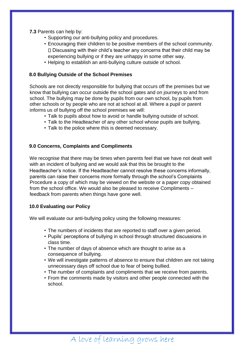#### **7.3** Parents can help by:

- Supporting our anti-bullying policy and procedures.
- Encouraging their children to be positive members of the school community. Discussing with their child's teacher any concerns that their child may be experiencing bullying or if they are unhappy in some other way.
- Helping to establish an anti-bullying culture outside of school.

#### **8.0 Bullying Outside of the School Premises**

Schools are not directly responsible for bullying that occurs off the premises but we know that bullying can occur outside the school gates and on journeys to and from school. The bullying may be done by pupils from our own school, by pupils from other schools or by people who are not at school at all. Where a pupil or parent informs us of bullying off the school premises we will:

- Talk to pupils about how to avoid or handle bullying outside of school.
- Talk to the Headteacher of any other school whose pupils are bullying.
- Talk to the police where this is deemed necessary.

#### **9.0 Concerns, Complaints and Compliments**

We recognise that there may be times when parents feel that we have not dealt well with an incident of bullying and we would ask that this be brought to the Headteacher's notice. If the Headteacher cannot resolve these concerns informally, parents can raise their concerns more formally through the school's Complaints Procedure a copy of which may be viewed on the website or a paper copy obtained from the school office. We would also be pleased to receive Compliments – feedback from parents when things have gone well.

#### **10.0 Evaluating our Policy**

We will evaluate our anti-bullying policy using the following measures:

- The numbers of incidents that are reported to staff over a given period.
- Pupils' perceptions of bullying in school through structured discussions in class time.
- The number of days of absence which are thought to arise as a consequence of bullying.
- We will investigate patterns of absence to ensure that children are not taking unnecessary days off school due to fear of being bullied.
- The number of complaints and compliments that we receive from parents.
- From the comments made by visitors and other people connected with the school.